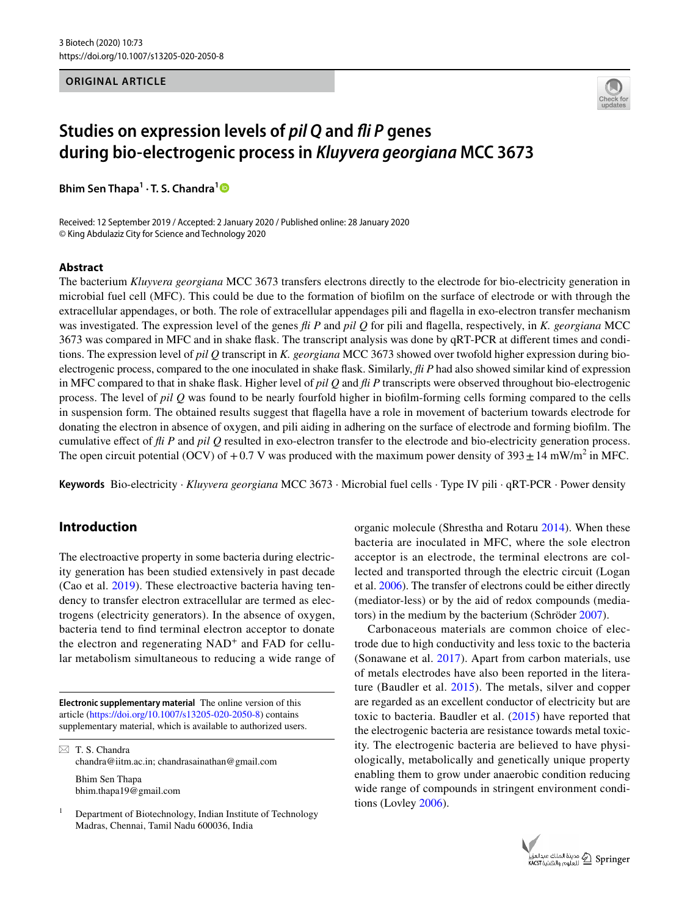### **ORIGINAL ARTICLE**



# **Studies on expression levels of pil Q and fli P genes during bio‑electrogenic process in Kluyvera georgiana MCC 3673**

**Bhim Sen Thapa<sup>1</sup> · T. S. Chandra[1](http://orcid.org/0000-0003-2336-0271)**

Received: 12 September 2019 / Accepted: 2 January 2020 / Published online: 28 January 2020 © King Abdulaziz City for Science and Technology 2020

#### **Abstract**

The bacterium *Kluyvera georgiana* MCC 3673 transfers electrons directly to the electrode for bio-electricity generation in microbial fuel cell (MFC). This could be due to the formation of biofilm on the surface of electrode or with through the extracellular appendages, or both. The role of extracellular appendages pili and flagella in exo-electron transfer mechanism was investigated. The expression level of the genes *fli P* and *pil Q* for pili and flagella, respectively, in *K. georgiana* MCC 3673 was compared in MFC and in shake flask. The transcript analysis was done by qRT-PCR at different times and conditions. The expression level of *pil Q* transcript in *K. georgiana* MCC 3673 showed over twofold higher expression during bioelectrogenic process, compared to the one inoculated in shake flask. Similarly, *fli P* had also showed similar kind of expression in MFC compared to that in shake flask. Higher level of *pil Q* and *fli P* transcripts were observed throughout bio-electrogenic process. The level of *pil Q* was found to be nearly fourfold higher in biofilm-forming cells forming compared to the cells in suspension form. The obtained results suggest that flagella have a role in movement of bacterium towards electrode for donating the electron in absence of oxygen, and pili aiding in adhering on the surface of electrode and forming biofilm. The cumulative effect of *fli P* and *pil Q* resulted in exo-electron transfer to the electrode and bio-electricity generation process. The open circuit potential (OCV) of +0.7 V was produced with the maximum power density of  $393 \pm 14$  mW/m<sup>2</sup> in MFC.

**Keywords** Bio-electricity · *Kluyvera georgiana* MCC 3673 · Microbial fuel cells · Type IV pili · qRT-PCR · Power density

# **Introduction**

The electroactive property in some bacteria during electricity generation has been studied extensively in past decade (Cao et al. [2019\)](#page-6-0). These electroactive bacteria having tendency to transfer electron extracellular are termed as electrogens (electricity generators). In the absence of oxygen, bacteria tend to find terminal electron acceptor to donate the electron and regenerating NAD<sup>+</sup> and FAD for cellular metabolism simultaneous to reducing a wide range of

**Electronic supplementary material** The online version of this article (https://doi.org/10.1007/s13205-020-2050-8) contains supplementary material, which is available to authorized users.

 $\boxtimes$  T. S. Chandra chandra@iitm.ac.in; chandrasainathan@gmail.com Bhim Sen Thapa bhim.thapa19@gmail.com

organic molecule (Shrestha and Rotaru [2014\)](#page-6-1). When these bacteria are inoculated in MFC, where the sole electron acceptor is an electrode, the terminal electrons are collected and transported through the electric circuit (Logan et al. [2006](#page-6-2)). The transfer of electrons could be either directly (mediator-less) or by the aid of redox compounds (mediators) in the medium by the bacterium (Schröder [2007](#page-6-3)).

Carbonaceous materials are common choice of electrode due to high conductivity and less toxic to the bacteria (Sonawane et al. [2017\)](#page-6-4). Apart from carbon materials, use of metals electrodes have also been reported in the literature (Baudler et al. [2015](#page-6-5)). The metals, silver and copper are regarded as an excellent conductor of electricity but are toxic to bacteria. Baudler et al. [\(2015\)](#page-6-5) have reported that the electrogenic bacteria are resistance towards metal toxicity. The electrogenic bacteria are believed to have physiologically, metabolically and genetically unique property enabling them to grow under anaerobic condition reducing wide range of compounds in stringent environment conditions (Lovley [2006](#page-6-6)).



<sup>1</sup> Department of Biotechnology, Indian Institute of Technology Madras, Chennai, Tamil Nadu 600036, India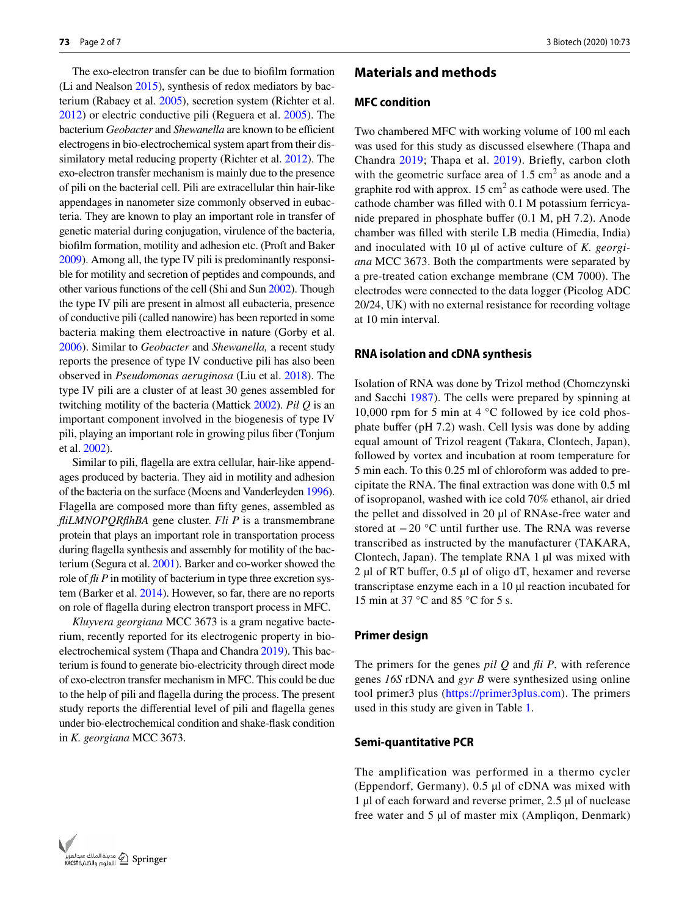The exo-electron transfer can be due to biofilm formation (Li and Nealson [2015\)](#page-6-7), synthesis of redox mediators by bacterium (Rabaey et al. [2005\)](#page-6-8), secretion system (Richter et al. [2012](#page-6-9)) or electric conductive pili (Reguera et al. [2005](#page-6-10)). The bacterium *Geobacter* and *Shewanella* are known to be efficient electrogens in bio-electrochemical system apart from their dissimilatory metal reducing property (Richter et al. [2012\)](#page-6-9). The exo-electron transfer mechanism is mainly due to the presence of pili on the bacterial cell. Pili are extracellular thin hair-like appendages in nanometer size commonly observed in eubacteria. They are known to play an important role in transfer of genetic material during conjugation, virulence of the bacteria, biofilm formation, motility and adhesion etc. (Proft and Baker [2009\)](#page-6-11). Among all, the type IV pili is predominantly responsible for motility and secretion of peptides and compounds, and other various functions of the cell (Shi and Sun [2002](#page-6-12)). Though the type IV pili are present in almost all eubacteria, presence of conductive pili (called nanowire) has been reported in some bacteria making them electroactive in nature (Gorby et al. [2006\)](#page-6-13). Similar to *Geobacter* and *Shewanella,* a recent study reports the presence of type IV conductive pili has also been observed in *Pseudomonas aeruginosa* (Liu et al. [2018](#page-6-14)). The type IV pili are a cluster of at least 30 genes assembled for twitching motility of the bacteria (Mattick [2002\)](#page-6-15). *Pil Q* is an important component involved in the biogenesis of type IV pili, playing an important role in growing pilus fiber (Tonjum et al. [2002\)](#page-6-16).

Similar to pili, flagella are extra cellular, hair-like appendages produced by bacteria. They aid in motility and adhesion of the bacteria on the surface (Moens and Vanderleyden [1996](#page-6-17)). Flagella are composed more than fifty genes, assembled as *fliLMNOPQRflhBA* gene cluster. *Fli P* is a transmembrane protein that plays an important role in transportation process during flagella synthesis and assembly for motility of the bacterium (Segura et al. [2001](#page-6-18)). Barker and co-worker showed the role of *fli P* in motility of bacterium in type three excretion system (Barker et al. [2014](#page-6-19)). However, so far, there are no reports on role of flagella during electron transport process in MFC.

*Kluyvera georgiana* MCC 3673 is a gram negative bacterium, recently reported for its electrogenic property in bioelectrochemical system (Thapa and Chandra [2019\)](#page-6-20). This bacterium is found to generate bio-electricity through direct mode of exo-electron transfer mechanism in MFC. This could be due to the help of pili and flagella during the process. The present study reports the differential level of pili and flagella genes under bio-electrochemical condition and shake-flask condition in *K. georgiana* MCC 3673.

## **Materials and methods**

### **MFC condition**

Two chambered MFC with working volume of 100 ml each was used for this study as discussed elsewhere (Thapa and Chandra [2019;](#page-6-20) Thapa et al. [2019](#page-6-21)). Briefly, carbon cloth with the geometric surface area of  $1.5 \text{ cm}^2$  as anode and a graphite rod with approx.  $15 \text{ cm}^2$  as cathode were used. The cathode chamber was filled with 0.1 M potassium ferricyanide prepared in phosphate buffer (0.1 M, pH 7.2). Anode chamber was filled with sterile LB media (Himedia, India) and inoculated with 10 µl of active culture of *K. georgiana* MCC 3673. Both the compartments were separated by a pre-treated cation exchange membrane (CM 7000). The electrodes were connected to the data logger (Picolog ADC 20/24, UK) with no external resistance for recording voltage at 10 min interval.

#### **RNA isolation and cDNA synthesis**

Isolation of RNA was done by Trizol method (Chomczynski and Sacchi [1987\)](#page-6-22). The cells were prepared by spinning at 10,000 rpm for 5 min at 4  $\degree$ C followed by ice cold phosphate buffer (pH 7.2) wash. Cell lysis was done by adding equal amount of Trizol reagent (Takara, Clontech, Japan), followed by vortex and incubation at room temperature for 5 min each. To this 0.25 ml of chloroform was added to precipitate the RNA. The final extraction was done with 0.5 ml of isopropanol, washed with ice cold 70% ethanol, air dried the pellet and dissolved in 20 µl of RNAse-free water and stored at − 20 °C until further use. The RNA was reverse transcribed as instructed by the manufacturer (TAKARA, Clontech, Japan). The template RNA 1 µl was mixed with 2 µl of RT buffer, 0.5 µl of oligo dT, hexamer and reverse transcriptase enzyme each in a 10 µl reaction incubated for 15 min at 37 °C and 85 °C for 5 s.

### **Primer design**

The primers for the genes *pil Q* and *fli P*, with reference genes *16S* rDNA and *gyr B* were synthesized using online tool primer3 plus (https://primer3plus.com). The primers used in this study are given in Table [1.](#page-2-0)

### **Semi‑quantitative PCR**

The amplification was performed in a thermo cycler (Eppendorf, Germany). 0.5 µl of cDNA was mixed with 1 µl of each forward and reverse primer, 2.5 µl of nuclease free water and 5 µl of master mix (Ampliqon, Denmark)

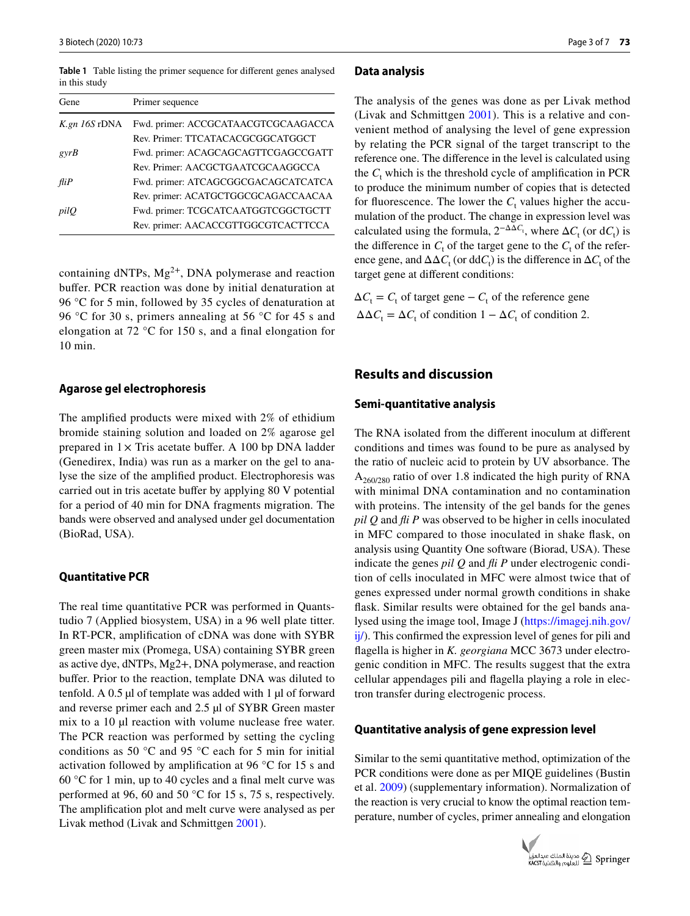<span id="page-2-0"></span>**Table 1** Table listing the primer sequence for different genes analysed in this study

| Primer sequence                     |
|-------------------------------------|
| Fwd. primer: ACCGCATAACGTCGCAAGACCA |
| Rev. Primer: TTCATACACGCGGCATGGCT   |
| Fwd. primer: ACAGCAGCAGTTCGAGCCGATT |
| Rev. Primer: AACGCTGAATCGCAAGGCCA   |
| Fwd. primer: ATCAGCGGCGACAGCATCATCA |
| Rev. primer: ACATGCTGGCGCAGACCAACAA |
| Fwd. primer: TCGCATCAATGGTCGGCTGCTT |
| Rev. primer: AACACCGTTGGCGTCACTTCCA |
|                                     |

containing dNTPs,  $Mg^{2+}$ , DNA polymerase and reaction buffer. PCR reaction was done by initial denaturation at 96 °C for 5 min, followed by 35 cycles of denaturation at 96 °C for 30 s, primers annealing at 56 °C for 45 s and elongation at 72 °C for 150 s, and a final elongation for 10 min.

### **Agarose gel electrophoresis**

The amplified products were mixed with 2% of ethidium bromide staining solution and loaded on 2% agarose gel prepared in  $1 \times$  Tris acetate buffer. A 100 bp DNA ladder (Genedirex, India) was run as a marker on the gel to analyse the size of the amplified product. Electrophoresis was carried out in tris acetate buffer by applying 80 V potential for a period of 40 min for DNA fragments migration. The bands were observed and analysed under gel documentation (BioRad, USA).

### **Quantitative PCR**

The real time quantitative PCR was performed in Quantstudio 7 (Applied biosystem, USA) in a 96 well plate titter. In RT-PCR, amplification of cDNA was done with SYBR green master mix (Promega, USA) containing SYBR green as active dye, dNTPs, Mg2+, DNA polymerase, and reaction buffer. Prior to the reaction, template DNA was diluted to tenfold. A 0.5 µl of template was added with 1 µl of forward and reverse primer each and 2.5 µl of SYBR Green master mix to a 10 µl reaction with volume nuclease free water. The PCR reaction was performed by setting the cycling conditions as 50 °C and 95 °C each for 5 min for initial activation followed by amplification at 96 °C for 15 s and 60 °C for 1 min, up to 40 cycles and a final melt curve was performed at 96, 60 and 50 °C for 15 s, 75 s, respectively. The amplification plot and melt curve were analysed as per Livak method (Livak and Schmittgen [2001](#page-6-23)).

#### **Data analysis**

The analysis of the genes was done as per Livak method (Livak and Schmittgen [2001](#page-6-23)). This is a relative and convenient method of analysing the level of gene expression by relating the PCR signal of the target transcript to the reference one. The difference in the level is calculated using the  $C_t$  which is the threshold cycle of amplification in PCR to produce the minimum number of copies that is detected for fluorescence. The lower the  $C_t$  values higher the accumulation of the product. The change in expression level was calculated using the formula,  $2^{-\Delta \Delta C_t}$ , where  $\Delta C_t$  (or  $dC_t$ ) is the difference in  $C_t$  of the target gene to the  $C_t$  of the reference gene, and  $\Delta \Delta C_t$  (or dd $C_t$ ) is the difference in  $\Delta C_t$  of the target gene at different conditions:

 $\Delta C_t = C_t$  of target gene –  $C_t$  of the reference gene  $\Delta \Delta C_t = \Delta C_t$  of condition  $1 - \Delta C_t$  of condition 2.

# **Results and discussion**

### **Semi‑quantitative analysis**

The RNA isolated from the different inoculum at different conditions and times was found to be pure as analysed by the ratio of nucleic acid to protein by UV absorbance. The  $A_{260/280}$  ratio of over 1.8 indicated the high purity of RNA with minimal DNA contamination and no contamination with proteins. The intensity of the gel bands for the genes *pil Q* and *fli P* was observed to be higher in cells inoculated in MFC compared to those inoculated in shake flask, on analysis using Quantity One software (Biorad, USA). These indicate the genes *pil Q* and *fli P* under electrogenic condition of cells inoculated in MFC were almost twice that of genes expressed under normal growth conditions in shake flask. Similar results were obtained for the gel bands analysed using the image tool, Image J (https://imagej.nih.gov/ [ij/](https://imagej.nih.gov/ij/)). This confirmed the expression level of genes for pili and flagella is higher in *K. georgiana* MCC 3673 under electrogenic condition in MFC. The results suggest that the extra cellular appendages pili and flagella playing a role in electron transfer during electrogenic process.

#### **Quantitative analysis of gene expression level**

Similar to the semi quantitative method, optimization of the PCR conditions were done as per MIQE guidelines (Bustin et al. [2009](#page-6-24)) (supplementary information). Normalization of the reaction is very crucial to know the optimal reaction temperature, number of cycles, primer annealing and elongation

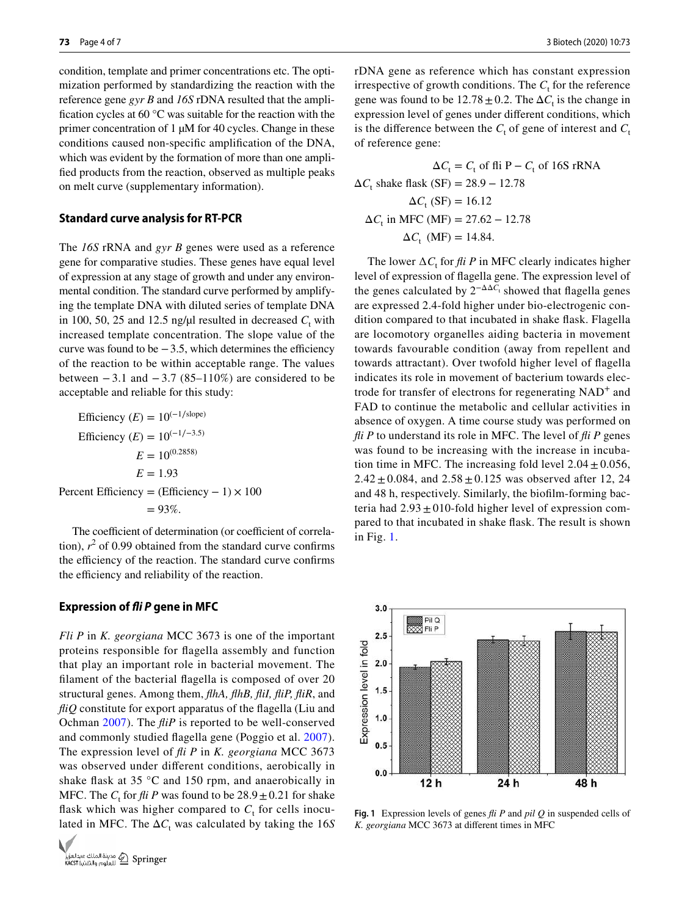condition, template and primer concentrations etc. The optimization performed by standardizing the reaction with the reference gene *gyr B* and *16S* rDNA resulted that the amplification cycles at  $60^{\circ}$ C was suitable for the reaction with the primer concentration of 1  $\mu$ M for 40 cycles. Change in these conditions caused non-specific amplification of the DNA, which was evident by the formation of more than one amplified products from the reaction, observed as multiple peaks on melt curve (supplementary information).

### **Standard curve analysis for RT‑PCR**

The *16S* rRNA and *gyr B* genes were used as a reference gene for comparative studies. These genes have equal level of expression at any stage of growth and under any environmental condition. The standard curve performed by amplifying the template DNA with diluted series of template DNA in 100, 50, 25 and 12.5 ng/ $\mu$ l resulted in decreased  $C_t$  with increased template concentration. The slope value of the curve was found to be  $-3.5$ , which determines the efficiency of the reaction to be within acceptable range. The values between  $-3.1$  and  $-3.7$  (85–110%) are considered to be acceptable and reliable for this study:

Efficiency 
$$
(E) = 10^{(-1/\text{slope})}
$$
  
\nEfficiency  $(E) = 10^{(-1/-3.5)}$   
\n $E = 10^{(0.2858)}$   
\n $E = 1.93$   
\nPercent Efficiency = (Efficiency – 1) × 100  
\n= 93%.

The coefficient of determination (or coefficient of correlation),  $r^2$  of 0.99 obtained from the standard curve confirms the efficiency of the reaction. The standard curve confirms the efficiency and reliability of the reaction.

### **Expression of fli P gene in MFC**

*Fli P* in *K. georgiana* MCC 3673 is one of the important proteins responsible for flagella assembly and function that play an important role in bacterial movement. The filament of the bacterial flagella is composed of over 20 structural genes. Among them, *flhA, flhB, fliI, fliP, fliR*, and *fliQ* constitute for export apparatus of the flagella (Liu and Ochman [2007](#page-6-25)). The *fliP* is reported to be well-conserved and commonly studied flagella gene (Poggio et al. [2007](#page-6-26)). The expression level of *fli P* in *K. georgiana* MCC 3673 was observed under different conditions, aerobically in shake flask at 35 °C and 150 rpm, and anaerobically in MFC. The  $C_t$  for *fli* P was found to be  $28.9 \pm 0.21$  for shake flask which was higher compared to  $C_t$  for cells inoculated in MFC. The  $\Delta C_t$  was calculated by taking the 16*S* 



rDNA gene as reference which has constant expression irrespective of growth conditions. The  $C_t$  for the reference gene was found to be  $12.78 \pm 0.2$ . The  $\Delta C_t$  is the change in expression level of genes under different conditions, which is the difference between the  $C_t$  of gene of interest and  $C_t$ of reference gene:

 $\Delta C_t = C_t$  of fli P –  $C_t$  of 16S rRNA  $\Delta C_t$  shake flask (SF) = 28.9 – 12.78  $\Delta C_t$  (SF) = 16.12  $\Delta C_t$  in MFC (MF) = 27.62 – 12.78  $\Delta C_t$  (MF) = 14.84.

The lower  $\Delta C_t$  for *fli P* in MFC clearly indicates higher level of expression of flagella gene. The expression level of the genes calculated by  $2^{-\Delta\Delta C_t}$  showed that flagella genes are expressed 2.4-fold higher under bio-electrogenic condition compared to that incubated in shake flask. Flagella are locomotory organelles aiding bacteria in movement towards favourable condition (away from repellent and towards attractant). Over twofold higher level of flagella indicates its role in movement of bacterium towards electrode for transfer of electrons for regenerating NAD<sup>+</sup> and FAD to continue the metabolic and cellular activities in absence of oxygen. A time course study was performed on *fli P* to understand its role in MFC. The level of *fli P* genes was found to be increasing with the increase in incubation time in MFC. The increasing fold level  $2.04 \pm 0.056$ ,  $2.42 \pm 0.084$ , and  $2.58 \pm 0.125$  was observed after 12, 24 and 48 h, respectively. Similarly, the biofilm-forming bacteria had  $2.93 \pm 010$ -fold higher level of expression compared to that incubated in shake flask. The result is shown in Fig. [1](#page-3-0).



<span id="page-3-0"></span>**Fig. 1** Expression levels of genes *fli P* and *pil Q* in suspended cells of *K. georgiana* MCC 3673 at different times in MFC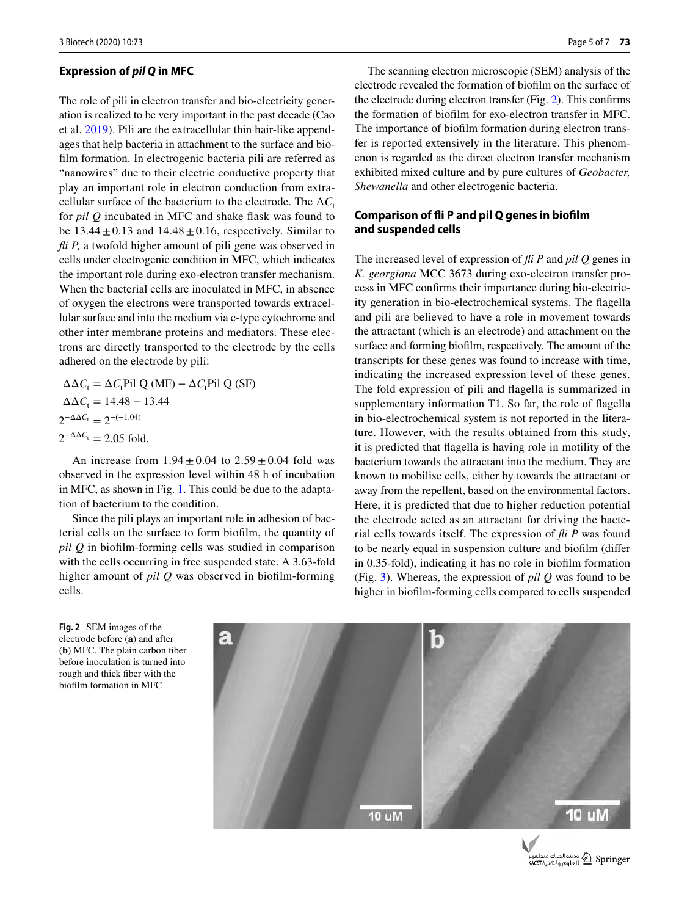# **Expression of pil Q in MFC**

The role of pili in electron transfer and bio-electricity generation is realized to be very important in the past decade (Cao et al. [2019\)](#page-6-0). Pili are the extracellular thin hair-like appendages that help bacteria in attachment to the surface and biofilm formation. In electrogenic bacteria pili are referred as "nanowires" due to their electric conductive property that play an important role in electron conduction from extracellular surface of the bacterium to the electrode. The  $\Delta C_t$ for *pil Q* incubated in MFC and shake flask was found to be  $13.44 \pm 0.13$  and  $14.48 \pm 0.16$ , respectively. Similar to *fli P,* a twofold higher amount of pili gene was observed in cells under electrogenic condition in MFC, which indicates the important role during exo-electron transfer mechanism. When the bacterial cells are inoculated in MFC, in absence of oxygen the electrons were transported towards extracellular surface and into the medium via c-type cytochrome and other inter membrane proteins and mediators. These electrons are directly transported to the electrode by the cells adhered on the electrode by pili:

 $\Delta \Delta C_t = \Delta C_t$ Pil Q (MF) –  $\Delta C_t$ Pil Q (SF)  $\Delta \Delta C_t = 14.48 - 13.44$  $2^{-\Delta\Delta C_t} = 2^{-(-1.04)}$  $2^{-\Delta\Delta C_t} = 2.05$  fold.

An increase from  $1.94 \pm 0.04$  to  $2.59 \pm 0.04$  fold was observed in the expression level within 48 h of incubation in MFC, as shown in Fig. [1](#page-3-0). This could be due to the adaptation of bacterium to the condition.

Since the pili plays an important role in adhesion of bacterial cells on the surface to form biofilm, the quantity of *pil Q* in biofilm-forming cells was studied in comparison with the cells occurring in free suspended state. A 3.63-fold higher amount of *pil Q* was observed in biofilm-forming cells.

The scanning electron microscopic (SEM) analysis of the electrode revealed the formation of biofilm on the surface of the electrode during electron transfer (Fig. [2](#page-4-0)). This confirms the formation of biofilm for exo-electron transfer in MFC. The importance of biofilm formation during electron transfer is reported extensively in the literature. This phenomenon is regarded as the direct electron transfer mechanism exhibited mixed culture and by pure cultures of *Geobacter, Shewanella* and other electrogenic bacteria.

# **Comparison of fli P and pil Q genes in biofilm and suspended cells**

The increased level of expression of *fli P* and *pil Q* genes in *K. georgiana* MCC 3673 during exo-electron transfer process in MFC confirms their importance during bio-electricity generation in bio-electrochemical systems. The flagella and pili are believed to have a role in movement towards the attractant (which is an electrode) and attachment on the surface and forming biofilm, respectively. The amount of the transcripts for these genes was found to increase with time, indicating the increased expression level of these genes. The fold expression of pili and flagella is summarized in supplementary information T1. So far, the role of flagella in bio-electrochemical system is not reported in the literature. However, with the results obtained from this study, it is predicted that flagella is having role in motility of the bacterium towards the attractant into the medium. They are known to mobilise cells, either by towards the attractant or away from the repellent, based on the environmental factors. Here, it is predicted that due to higher reduction potential the electrode acted as an attractant for driving the bacterial cells towards itself. The expression of *fli P* was found to be nearly equal in suspension culture and biofilm (differ in 0.35-fold), indicating it has no role in biofilm formation (Fig. [3\)](#page-5-0). Whereas, the expression of *pil Q* was found to be higher in biofilm-forming cells compared to cells suspended

<span id="page-4-0"></span>



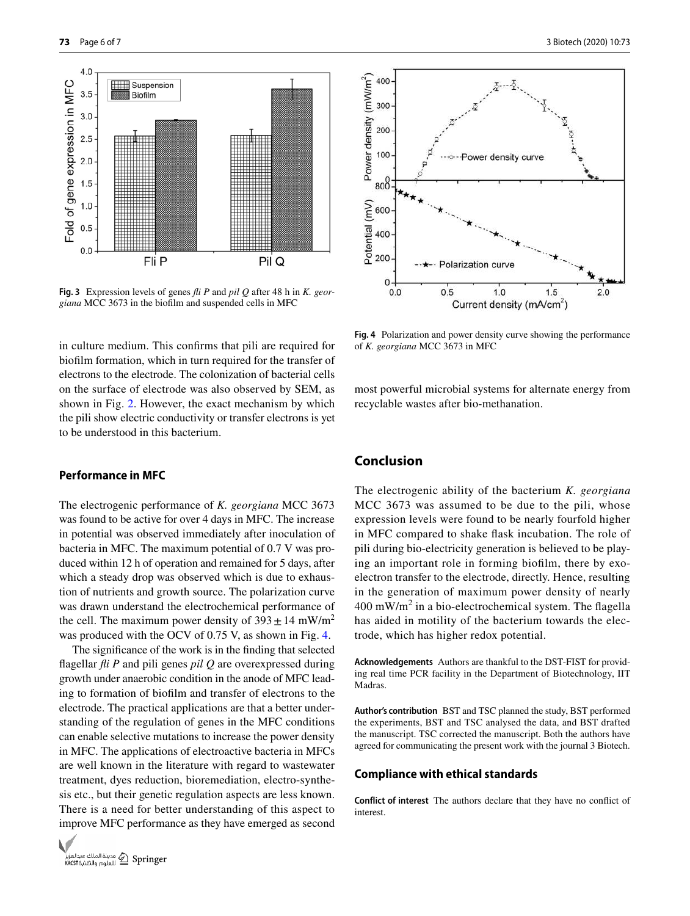

<span id="page-5-0"></span>**Fig. 3** Expression levels of genes *fli P* and *pil Q* after 48 h in *K. georgiana* MCC 3673 in the biofilm and suspended cells in MFC

in culture medium. This confirms that pili are required for biofilm formation, which in turn required for the transfer of electrons to the electrode. The colonization of bacterial cells on the surface of electrode was also observed by SEM, as shown in Fig. [2](#page-4-0). However, the exact mechanism by which the pili show electric conductivity or transfer electrons is yet to be understood in this bacterium.

### **Performance in MFC**

The electrogenic performance of *K. georgiana* MCC 3673 was found to be active for over 4 days in MFC. The increase in potential was observed immediately after inoculation of bacteria in MFC. The maximum potential of 0.7 V was produced within 12 h of operation and remained for 5 days, after which a steady drop was observed which is due to exhaustion of nutrients and growth source. The polarization curve was drawn understand the electrochemical performance of the cell. The maximum power density of  $393 \pm 14$  mW/m<sup>2</sup> was produced with the OCV of 0.75 V, as shown in Fig. [4](#page-5-1).

The significance of the work is in the finding that selected flagellar *fli P* and pili genes *pil Q* are overexpressed during growth under anaerobic condition in the anode of MFC leading to formation of biofilm and transfer of electrons to the electrode. The practical applications are that a better understanding of the regulation of genes in the MFC conditions can enable selective mutations to increase the power density in MFC. The applications of electroactive bacteria in MFCs are well known in the literature with regard to wastewater treatment, dyes reduction, bioremediation, electro-synthesis etc., but their genetic regulation aspects are less known. There is a need for better understanding of this aspect to improve MFC performance as they have emerged as second





<span id="page-5-1"></span>**Fig. 4** Polarization and power density curve showing the performance of *K. georgiana* MCC 3673 in MFC

most powerful microbial systems for alternate energy from recyclable wastes after bio-methanation.

# **Conclusion**

The electrogenic ability of the bacterium *K. georgiana* MCC 3673 was assumed to be due to the pili, whose expression levels were found to be nearly fourfold higher in MFC compared to shake flask incubation. The role of pili during bio-electricity generation is believed to be playing an important role in forming biofilm, there by exoelectron transfer to the electrode, directly. Hence, resulting in the generation of maximum power density of nearly  $400 \text{ mW/m}^2$  in a bio-electrochemical system. The flagella has aided in motility of the bacterium towards the electrode, which has higher redox potential.

**Acknowledgements** Authors are thankful to the DST-FIST for providing real time PCR facility in the Department of Biotechnology, IIT Madras.

**Author's contribution** BST and TSC planned the study, BST performed the experiments, BST and TSC analysed the data, and BST drafted the manuscript. TSC corrected the manuscript. Both the authors have agreed for communicating the present work with the journal 3 Biotech.

#### **Compliance with ethical standards**

**Conflict of interest** The authors declare that they have no conflict of interest.